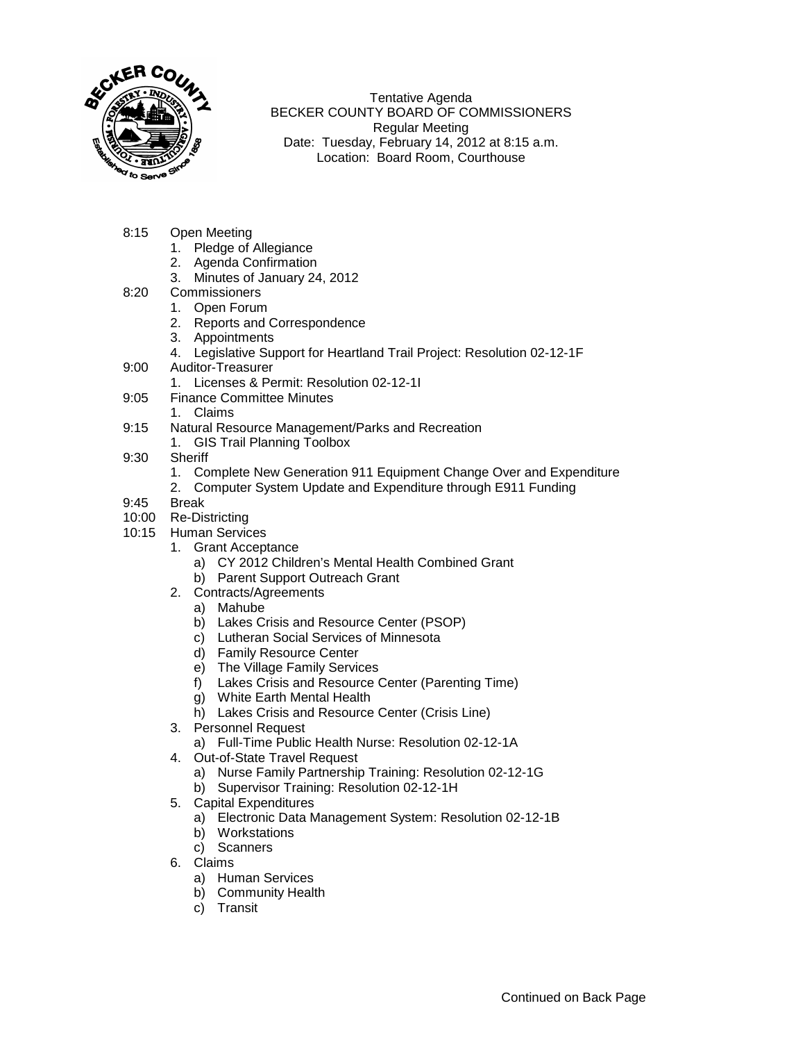

Tentative Agenda BECKER COUNTY BOARD OF COMMISSIONERS Regular Meeting Date: Tuesday, February 14, 2012 at 8:15 a.m. Location: Board Room, Courthouse

- 8:15 Open Meeting
	- 1. Pledge of Allegiance
	- 2. Agenda Confirmation
	- 3. Minutes of January 24, 2012
- 8:20 Commissioners
	- 1. Open Forum
	- 2. Reports and Correspondence
	- 3. Appointments
	- 4. Legislative Support for Heartland Trail Project: Resolution 02-12-1F
- 9:00 Auditor-Treasurer
	- 1. Licenses & Permit: Resolution 02-12-1I
- 9:05 Finance Committee Minutes
	- 1. Claims
- 9:15 Natural Resource Management/Parks and Recreation
	- 1. GIS Trail Planning Toolbox
- 9:30 Sheriff
	- 1. Complete New Generation 911 Equipment Change Over and Expenditure
	- 2. Computer System Update and Expenditure through E911 Funding
- 9:45 Break
- 10:00 Re-Districting
- 10:15 Human Services
	- 1. Grant Acceptance
		- a) CY 2012 Children's Mental Health Combined Grant
		- b) Parent Support Outreach Grant
	- 2. Contracts/Agreements
		- a) Mahube
		- b) Lakes Crisis and Resource Center (PSOP)
		- c) Lutheran Social Services of Minnesota
		- d) Family Resource Center
		- e) The Village Family Services
		- f) Lakes Crisis and Resource Center (Parenting Time)
		- g) White Earth Mental Health
		- h) Lakes Crisis and Resource Center (Crisis Line)
	- 3. Personnel Request
		- a) Full-Time Public Health Nurse: Resolution 02-12-1A
	- 4. Out-of-State Travel Request
		- a) Nurse Family Partnership Training: Resolution 02-12-1G
		- b) Supervisor Training: Resolution 02-12-1H
	- 5. Capital Expenditures
		- a) Electronic Data Management System: Resolution 02-12-1B
		- b) Workstations
		- c) Scanners
	- 6. Claims
		- a) Human Services
		- b) Community Health
		- c) Transit